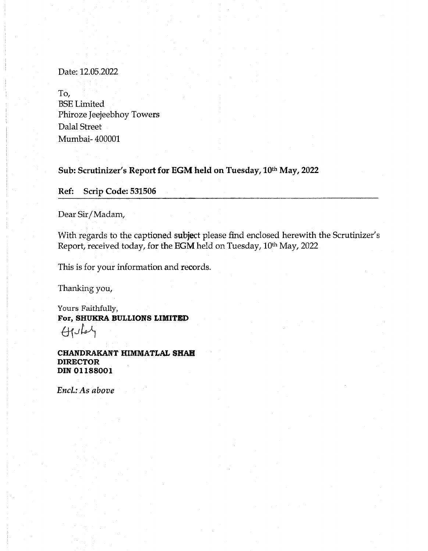Date: 12.05.2022

To, BSE Limited Phiroze Jeejeebhoy Towers Dalal Street Mumbai- 400001

Sub: Scrutinizer's Report for EGM held on Tuesday, 10th May, 2022

Ref: Scrip Code: 531506

Dear Sir/ Madam,

With regards to the captioned subject please find enclosed herewith the Scrutinizer's Report, received today, for the EGM held on Tuesday, 10<sup>th</sup> May, 2022

This is for your information and records.

Thanking you,

Yours Faithfully, For, SHUKRA BULLIONS LIMITED  $\bigoplus$ 

CHANDRAKANT HIMMATLAL SHAH DIRECTOR DIN 01188001

*Encl.: As above*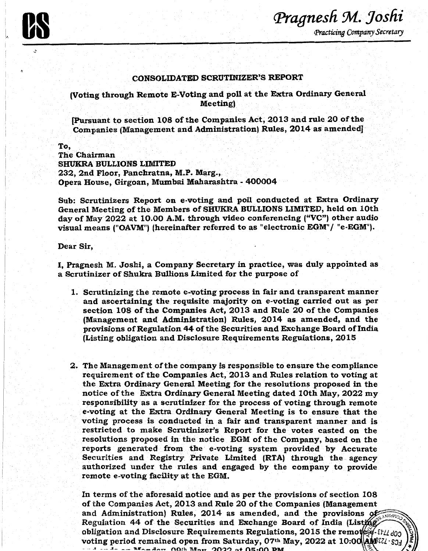## .CONSOLIDATED SCRUTINIZER'S REPORT

(Voting through Remote E-Voting and poll at the Extra Ordinary General Meeting)

{Pursuant to section 108 of the Companies Act; 2013 and rule 20 of the Companies (Management and Administration) Rules, 2014 as amended]

To, The Chairman SHUKRA BULLIONS LIMITED 232, 2nd Floor, Panchratna, M.P. Marg., Opera House, Girgoan, Mumbai Maharashtra - 400004

Sub: Scrutinizers Report on e-voting and poll conducted at Extra Ordinary General Meeting of the Members of SHUKRA BULLIONS LIMITED, held on 10th day of May 2022 at 10.00 A.M. through video conferencing ("VC") other audio visual means ("OAVM") (hereinafter referred to as "electronic EGM"/ "e-EGM").

Dear Sir,

I, Pragnesh M. Joshi, a Company Secretary in practice, was duly appointed as a Scrutinizer of Shukra Bullions Limited for the purpose of

- 1. Scrutinizing the remote e-voting process in fair and transparent manner and ascertaining the requisite majority on e-voting carried out as per section 108 of the Companies Act, 2013 and Rule 20 of the Companies (Management and Administration) Rules, 2014 as amended, and the provisions of Regulation 44 of the Securities and Exchange Board of India (Listing obligation and Disclosure Requirements Regulations, 2015
- 2. The Management of the company is responsible to ensure the compliance requirement of the Companies Act, 2013 and Rules relation to voting at the Extra Ordinary General Meeting for the resolutions proposed in the notice of the Extra Ordinary General Meeting dated 10th May, 2022 my responsibility as a scrutinizer for the process of voting through remote e-voting at the Extra Ordinary General Meeting is to ensure that the voting process is conducted in a fair and transparent manner and is restricted to make Scrutinizer's Report for the votes casted on the resolutions proposed in the notice EGM of the Company, based on the reports generated from the e-voting system provided by Accurate Securities and Registry Private Limited (RTA) through the agency authorized under the rules and engaged by the company to provide remote e-voting facility at the EGM.

In terms of the aforesaid notice and as per the provisions of section 108 of the Companies Act, 2013 and Rule 20 of the Companies (Management and Administration) Rules, 2014 as amended, and the provisions  $\alpha$ Regulation 44 of the Securities and Exchange Board of India (Listme) obligation and Disclosure Requirements Regulations, 2015 the remote of-Et/Ld03 voting period remained open from Saturday, 07<sup>th</sup> May, 2022 at 10:00  $\frac{ABEZZ-Sj}{2}$ .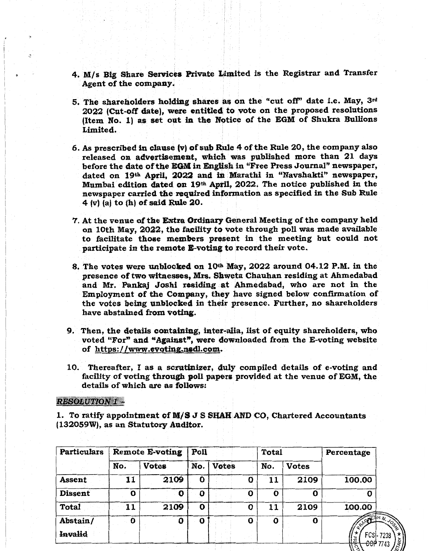- 4. M/s Big Share Services Private Limited is the Registrar and Transfer Agent of the company.
- 5. The shareholders holding shares as on the "cut off'' date i.e. May, 3rd 2022 (Cut-off date), were entitled to vote on the proposed resolutions (Item No. 1) as set out in the Notice of the EGM of Shukra Bullions Limited.
- 6. As prescribed in clause  $(v)$  of sub Rule 4 of the Rule 20, the company also released on advertisement, which was published more than 21 days before the date of the EGM in English in "Free Press Journal" newspaper, dated on 19<sup>th</sup> April, 2022 and in Marathi in "Navshakti" newspaper, Mumbai edition dated on 19th April, 2022. The notice published in the newspaper carried the required information as specified in the Sub Rule 4 (v) (a) to (h) of said Rule 20.
- 7. At the venue of the Extra Ordinary General Meeting of the company held on 10th May, 2022, the facility to vote through poll was made available to facilitate those members present in the meeting but could not participate in the remote E-voting to record their vote.
- 8. The votes were unblocked on 10<sup>th</sup> May, 2022 around 04.12 P.M. in the presence of two witnesses, Mrs. Shweta Chauhan residing at Ahmedabad and Mr. Pankaj Joshi residing at Ahmedabad, who are not in the Employment of the Company, they have signed below confirmation of the votes being unblocked in their presence. Further, no shareholders have abstained from voting.
- 9. Then, the details containing, inter-alia, list of equity shareholders, who voted "For" and "Against", were downloaded from the E-voting website of https://www.evoting.nadl.com.
- 10. Thereafter, I as a scrutinizer, duly compiled details of e-voting and facility of voting through poll papers provided at the venue of EGM, the details of which are as follows:

## RESOLUTION 1-

1. To ratify appointment of M/S J S SHAH AND CO, Chartered Accountants (132059W), as an Statutory Auditor.

| Particulars    | Remote E-voting |              | Poll |              |   | <b>Total</b> |              | Percentage      |  |
|----------------|-----------------|--------------|------|--------------|---|--------------|--------------|-----------------|--|
|                | No.             | <b>Votes</b> | No.  | <b>Votes</b> |   | No.          | <b>Votes</b> |                 |  |
| Assent         | 11              | 2109         | 0    |              | O | 11           | 2109         | 100.00          |  |
| <b>Dissent</b> | 0               | O            | 0    |              | 0 | O            | 0            | Ω               |  |
| <b>Total</b>   | 11              | 2109         | 0    |              | 0 | 11           | 2109         | 100.00          |  |
| Abstain/       | $\mathbf 0$     | 0            | 0    |              | 0 | $\mathbf o$  | $\mathbf o$  | AC              |  |
| <b>Invalid</b> |                 |              |      |              |   |              |              | FCSI-7238<br>[꿈 |  |
|                |                 |              |      |              |   |              |              | $-60P$ 7743     |  |

 $2\lambda$  / $\alpha$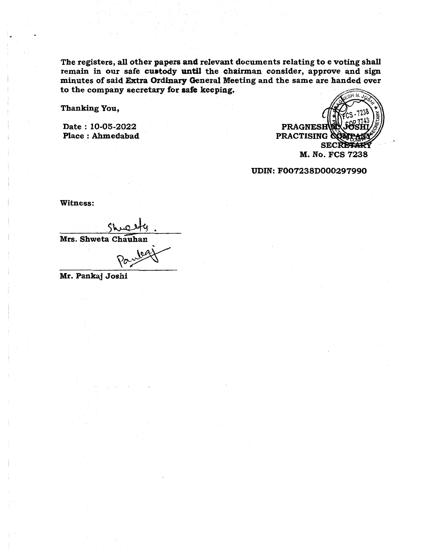The registers, all other papers and relevant documents relating to e voting shall remain in our safe custody until the chairman consider, approve and sign minutes of said Extra Ordinary General Meeting and the same are handed over to the company secretary for safe keeping.

Thanking You,

Date : 10-05-2022 Place : Ahmedabad



UDIN:F007238D000297990

Witness:

 $shw$ ety. Mrs. Shweta Chauhan

Mr. Pankaj Joshi